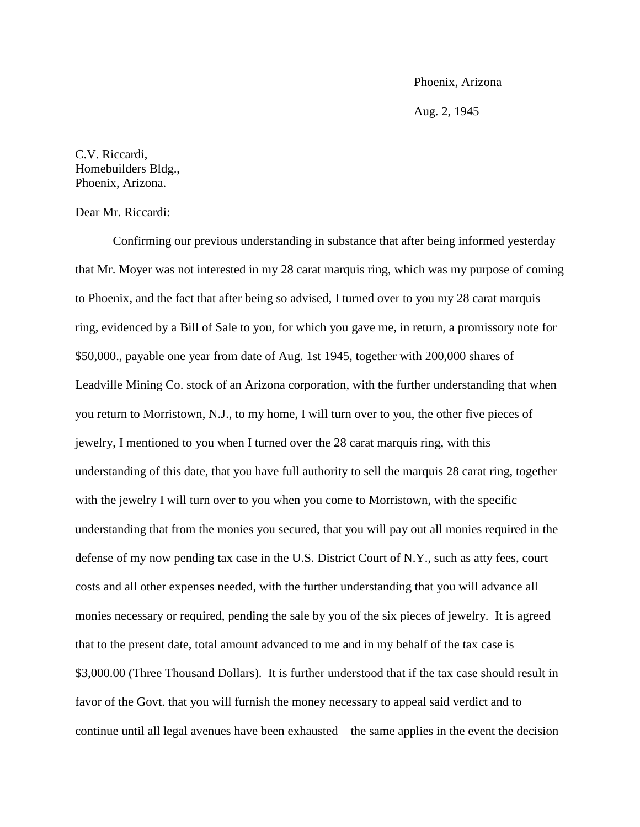## Phoenix, Arizona

Aug. 2, 1945

C.V. Riccardi, Homebuilders Bldg., Phoenix, Arizona.

Dear Mr. Riccardi:

Confirming our previous understanding in substance that after being informed yesterday that Mr. Moyer was not interested in my 28 carat marquis ring, which was my purpose of coming to Phoenix, and the fact that after being so advised, I turned over to you my 28 carat marquis ring, evidenced by a Bill of Sale to you, for which you gave me, in return, a promissory note for \$50,000., payable one year from date of Aug. 1st 1945, together with 200,000 shares of Leadville Mining Co. stock of an Arizona corporation, with the further understanding that when you return to Morristown, N.J., to my home, I will turn over to you, the other five pieces of jewelry, I mentioned to you when I turned over the 28 carat marquis ring, with this understanding of this date, that you have full authority to sell the marquis 28 carat ring, together with the jewelry I will turn over to you when you come to Morristown, with the specific understanding that from the monies you secured, that you will pay out all monies required in the defense of my now pending tax case in the U.S. District Court of N.Y., such as atty fees, court costs and all other expenses needed, with the further understanding that you will advance all monies necessary or required, pending the sale by you of the six pieces of jewelry. It is agreed that to the present date, total amount advanced to me and in my behalf of the tax case is \$3,000.00 (Three Thousand Dollars). It is further understood that if the tax case should result in favor of the Govt. that you will furnish the money necessary to appeal said verdict and to continue until all legal avenues have been exhausted – the same applies in the event the decision